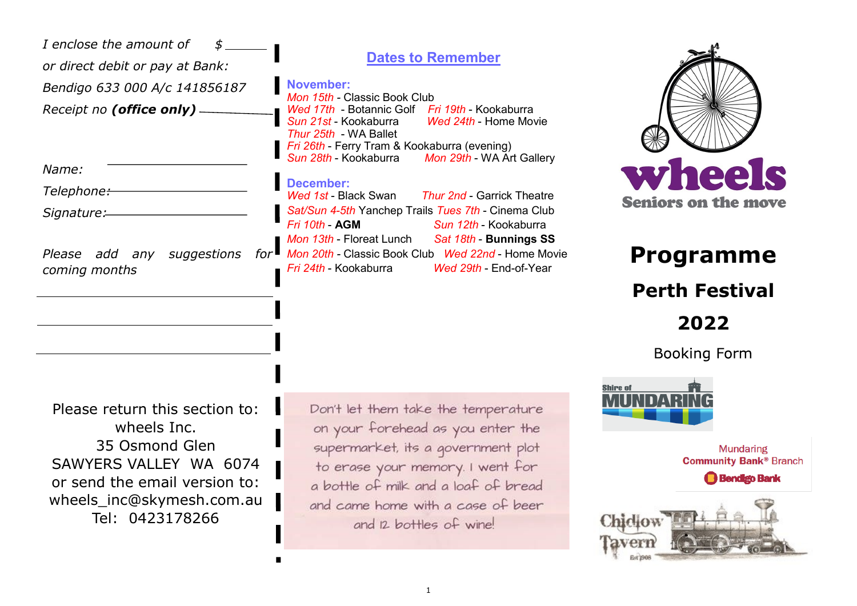| I enclose the amount of<br>or direct debit or pay at Bank:<br>Bendigo 633 000 A/c 141856187<br>Receipt no (office only) -<br>Name:<br>Telephone:-<br>Signature:<br>Please add any suggestions<br>for $\blacksquare$<br>coming months | <b>Dates to Remember</b><br><b>November:</b><br>Mon 15th - Classic Book Club<br>Wed 17th - Botannic Golf Fri 19th - Kookaburra<br>Wed 24th - Home Movie<br>Sun 21st - Kookaburra<br>Thur 25th - WA Ballet<br>Fri 26th - Ferry Tram & Kookaburra (evening)<br>Sun 28th - Kookaburra<br>Mon 29th - WA Art Gallery<br><b>December:</b><br><b>Thur 2nd - Garrick Theatre</b><br>Wed 1st - Black Swan<br>Sat/Sun 4-5th Yanchep Trails Tues 7th - Cinema Club<br>Fri 10th - AGM<br>Sun 12th - Kookaburra<br>Mon 13th - Floreat Lunch<br>Sat 18th - Bunnings SS<br>Mon 20th - Classic Book Club Wed 22nd - Home Movie<br>Fri 24th - Kookaburra<br>Wed 29th - End-of-Year | wheels<br><b>Seniors on the move</b><br><b>Programme</b><br><b>Perth Festival</b><br>2022<br><b>Booking Form</b> |
|--------------------------------------------------------------------------------------------------------------------------------------------------------------------------------------------------------------------------------------|-------------------------------------------------------------------------------------------------------------------------------------------------------------------------------------------------------------------------------------------------------------------------------------------------------------------------------------------------------------------------------------------------------------------------------------------------------------------------------------------------------------------------------------------------------------------------------------------------------------------------------------------------------------------|------------------------------------------------------------------------------------------------------------------|
| Please return this section to:<br>wheels Inc.<br>35 Osmond Glen<br>SAWYERS VALLEY WA 6074<br>or send the email version to:<br>wheels_inc@skymesh.com.au<br>Tel: 0423178266                                                           | Don't let them take the temperature<br>on your forehead as you enter the<br>supermarket, its a government plot<br>to erase your memory. I went for<br>a bottle of milk and a loaf of bread<br>and came home with a case of beer<br>and 12 bottles of wine!                                                                                                                                                                                                                                                                                                                                                                                                        | <b>Mundaring</b><br><b>Community Bank® Branch</b><br><b>Bendigo Bank</b>                                         |

П

 $\blacksquare$ 

Taverr

Est 2908

do in